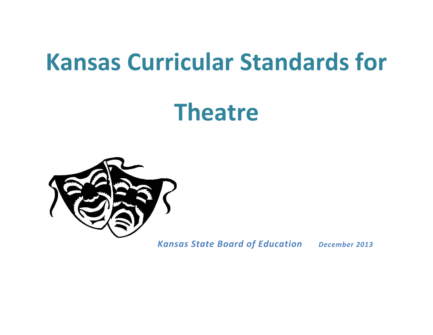# **Kansas Curricular Standards for**

# **Theatre**



*Kansas State Board of Education December 2013*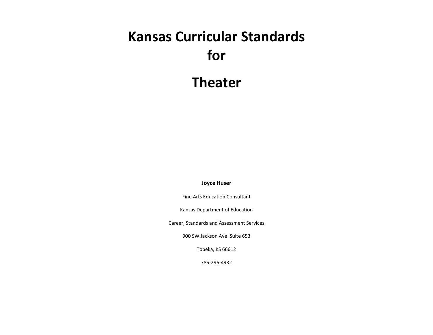## **Kansas Curricular Standards for**

**Theater** 

**Joyce Huser**

Fine Arts Education Consultant

Kansas Department of Education

Career, Standards and Assessment Services

900 SW Jackson Ave Suite 653

Topeka, KS 66612

785-296-4932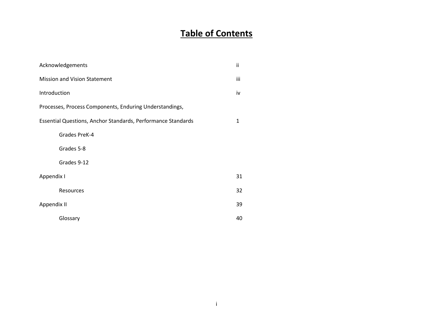### **Table of Contents**

| Acknowledgements                                             | ii  |
|--------------------------------------------------------------|-----|
| <b>Mission and Vision Statement</b>                          | iii |
| Introduction                                                 | iv  |
| Processes, Process Components, Enduring Understandings,      |     |
| Essential Questions, Anchor Standards, Performance Standards | 1   |
| Grades PreK-4                                                |     |
| Grades 5-8                                                   |     |
| Grades 9-12                                                  |     |
| Appendix I                                                   | 31  |
| Resources                                                    | 32  |
| Appendix II                                                  | 39  |
| Glossary                                                     | 40  |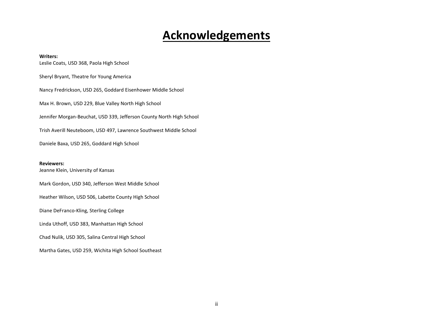### **Acknowledgements**

#### **Writers:**

Leslie Coats, USD 368, Paola High School Sheryl Bryant, Theatre for Young America Nancy Fredrickson, USD 265, Goddard Eisenhower Middle School Max H. Brown, USD 229, Blue Valley North High School Jennifer Morgan-Beuchat, USD 339, Jefferson County North High School Trish Averill Neuteboom, USD 497, Lawrence Southwest Middle School Daniele Baxa, USD 265, Goddard High School

#### **Reviewers:**

Jeanne Klein, University of Kansas

Mark Gordon, USD 340, Jefferson West Middle School

Heather Wilson, USD 506, Labette County High School

Diane DeFranco-Kling, Sterling College

Linda Uthoff, USD 383, Manhattan High School

Chad Nulik, USD 305, Salina Central High School

Martha Gates, USD 259, Wichita High School Southeast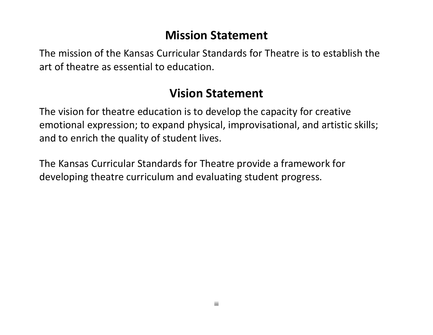## **Mission Statement**

The mission of the Kansas Curricular Standards for Theatre is to establish the art of theatre as essential to education.

### **Vision Statement**

The vision for theatre education is to develop the capacity for creative emotional expression; to expand physical, improvisational, and artistic skills; and to enrich the quality of student lives.

The Kansas Curricular Standards for Theatre provide a framework for developing theatre curriculum and evaluating student progress.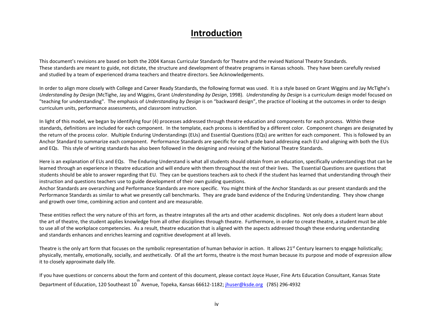#### **Introduction**

This document's revisions are based on both the 2004 Kansas Curricular Standards for Theatre and the revised National Theatre Standards. These standards are meant to guide, not dictate, the structure and development of theatre programs in Kansas schools. They have been carefully revised and studied by a team of experienced drama teachers and theatre directors. See Acknowledgements.

In order to align more closely with College and Career Ready Standards, the following format was used. It is a style based on Grant Wiggins and Jay McTighe's *Understanding by Design* (McTighe, Jay and Wiggins, Grant *Understanding by Design*, 1998). *Understanding by Design* is a curriculum design model focused on "teaching for understanding". The emphasis of *Understanding by Design* is on "backward design", the practice of looking at the outcomes in order to design curriculum units, performance assessments, and classroom instruction.

In light of this model, we began by identifying four (4) processes addressed through theatre education and components for each process. Within these standards, definitions are included for each component. In the template, each process is identified by a different color. Component changes are designated by the return of the process color. Multiple Enduring Understandings (EUs) and Essential Questions (EQs) are written for each component. This is followed by an Anchor Standard to summarize each component. Performance Standards are specific for each grade band addressing each EU and aligning with both the EUs and EQs. This style of writing standards has also been followed in the designing and revising of the National Theatre Standards.

Here is an explanation of EUs and EQs. The Enduring Understand is what all students should obtain from an education, specifically understandings that can be learned through an experience in theatre education and will endure with them throughout the rest of their lives. The Essential Questions are questions that students should be able to answer regarding that EU. They can be questions teachers ask to check if the student has learned that understanding through their instruction and questions teachers use to guide development of their own guiding questions.

Anchor Standards are overarching and Performance Standards are more specific. You might think of the Anchor Standards as our present standards and the Performance Standards as similar to what we presently call benchmarks. They are grade band evidence of the Enduring Understanding. They show change and growth over time, combining action and content and are measurable.

These entities reflect the very nature of this art form, as theatre integrates all the arts and other academic disciplines. Not only does a student learn about the art of theatre, the student applies knowledge from all other disciplines through theatre. Furthermore, in order to create theatre, a student must be able to use all of the workplace competencies. As a result, theatre education that is aligned with the aspects addressed though these enduring understanding and standards enhances and enriches learning and cognitive development at all levels.

Theatre is the only art form that focuses on the symbolic representation of human behavior in action. It allows  $21^{st}$  Century learners to engage holistically; physically, mentally, emotionally, socially, and aesthetically. Of all the art forms, theatre is the most human because its purpose and mode of expression allow it to closely approximate daily life.

If you have questions or concerns about the form and content of this document, please contact Joyce Huser, Fine Arts Education Consultant, Kansas State Department of Education, 120 Southeast 10<sup>th</sup> Avenue, Topeka, Kansas 66612-1182; <u>ihuser@ksde.org</u> (785) 296-4932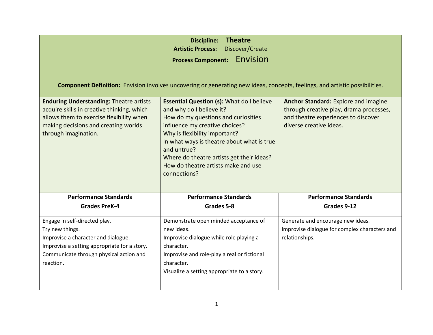| <b>Discipline:</b><br><b>Theatre</b><br><b>Artistic Process:</b><br>Discover/Create<br>Envision<br><b>Process Component:</b>                                                                             |                                                                                                                                                                                                                                                                                                                                                         |                                                                                                                                                          |
|----------------------------------------------------------------------------------------------------------------------------------------------------------------------------------------------------------|---------------------------------------------------------------------------------------------------------------------------------------------------------------------------------------------------------------------------------------------------------------------------------------------------------------------------------------------------------|----------------------------------------------------------------------------------------------------------------------------------------------------------|
| Component Definition: Envision involves uncovering or generating new ideas, concepts, feelings, and artistic possibilities.                                                                              |                                                                                                                                                                                                                                                                                                                                                         |                                                                                                                                                          |
| <b>Enduring Understanding: Theatre artists</b><br>acquire skills in creative thinking, which<br>allows them to exercise flexibility when<br>making decisions and creating worlds<br>through imagination. | <b>Essential Question (s): What do I believe</b><br>and why do I believe it?<br>How do my questions and curiosities<br>influence my creative choices?<br>Why is flexibility important?<br>In what ways is theatre about what is true<br>and untrue?<br>Where do theatre artists get their ideas?<br>How do theatre artists make and use<br>connections? | <b>Anchor Standard:</b> Explore and imagine<br>through creative play, drama processes,<br>and theatre experiences to discover<br>diverse creative ideas. |
| <b>Performance Standards</b>                                                                                                                                                                             | <b>Performance Standards</b>                                                                                                                                                                                                                                                                                                                            | <b>Performance Standards</b>                                                                                                                             |
| <b>Grades PreK-4</b>                                                                                                                                                                                     | Grades 5-8                                                                                                                                                                                                                                                                                                                                              | Grades 9-12                                                                                                                                              |
| Engage in self-directed play.<br>Try new things.<br>Improvise a character and dialogue.<br>Improvise a setting appropriate for a story.<br>Communicate through physical action and<br>reaction.          | Demonstrate open minded acceptance of<br>new ideas.<br>Improvise dialogue while role playing a<br>character.<br>Improvise and role-play a real or fictional<br>character.<br>Visualize a setting appropriate to a story.                                                                                                                                | Generate and encourage new ideas.<br>Improvise dialogue for complex characters and<br>relationships.                                                     |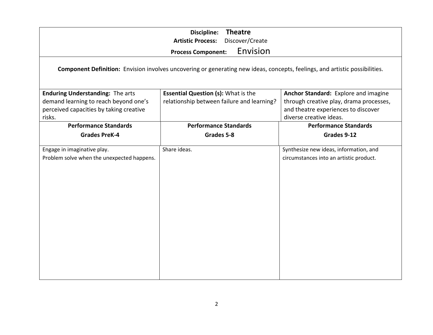| <b>Theatre</b><br>Discipline:<br><b>Artistic Process:</b><br>Discover/Create<br>Envision<br><b>Process Component:</b>                 |                                                                                          |                                                                                                                                                   |
|---------------------------------------------------------------------------------------------------------------------------------------|------------------------------------------------------------------------------------------|---------------------------------------------------------------------------------------------------------------------------------------------------|
| Component Definition: Envision involves uncovering or generating new ideas, concepts, feelings, and artistic possibilities.           |                                                                                          |                                                                                                                                                   |
| <b>Enduring Understanding: The arts</b><br>demand learning to reach beyond one's<br>perceived capacities by taking creative<br>risks. | <b>Essential Question (s): What is the</b><br>relationship between failure and learning? | Anchor Standard: Explore and imagine<br>through creative play, drama processes,<br>and theatre experiences to discover<br>diverse creative ideas. |
| <b>Performance Standards</b>                                                                                                          | <b>Performance Standards</b>                                                             | <b>Performance Standards</b>                                                                                                                      |
| <b>Grades PreK-4</b>                                                                                                                  | Grades 5-8                                                                               | Grades 9-12                                                                                                                                       |
| Engage in imaginative play.<br>Problem solve when the unexpected happens.                                                             | Share ideas.                                                                             | Synthesize new ideas, information, and<br>circumstances into an artistic product.                                                                 |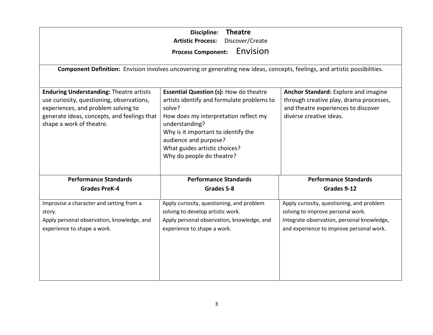| <b>Theatre</b><br>Discipline:<br><b>Artistic Process:</b><br>Discover/Create<br>Envision<br><b>Process Component:</b><br>Component Definition: Envision involves uncovering or generating new ideas, concepts, feelings, and artistic possibilities.                                                                                                                                                                                                                                                                                                                                                                                                                 |                                            |                                            |
|----------------------------------------------------------------------------------------------------------------------------------------------------------------------------------------------------------------------------------------------------------------------------------------------------------------------------------------------------------------------------------------------------------------------------------------------------------------------------------------------------------------------------------------------------------------------------------------------------------------------------------------------------------------------|--------------------------------------------|--------------------------------------------|
| <b>Enduring Understanding: Theatre artists</b><br><b>Essential Question (s): How do theatre</b><br>Anchor Standard: Explore and imagine<br>use curiosity, questioning, observations,<br>artists identify and formulate problems to<br>through creative play, drama processes,<br>experiences, and problem solving to<br>solve?<br>and theatre experiences to discover<br>generate ideas, concepts, and feelings that<br>diverse creative ideas.<br>How does my interpretation reflect my<br>shape a work of theatre.<br>understanding?<br>Why is it important to identify the<br>audience and purpose?<br>What guides artistic choices?<br>Why do people do theatre? |                                            |                                            |
| <b>Performance Standards</b>                                                                                                                                                                                                                                                                                                                                                                                                                                                                                                                                                                                                                                         | <b>Performance Standards</b>               | <b>Performance Standards</b>               |
| <b>Grades PreK-4</b>                                                                                                                                                                                                                                                                                                                                                                                                                                                                                                                                                                                                                                                 | Grades 5-8                                 | Grades 9-12                                |
| Improvise a character and setting from a                                                                                                                                                                                                                                                                                                                                                                                                                                                                                                                                                                                                                             | Apply curiosity, questioning, and problem  | Apply curiosity, questioning, and problem  |
| story.                                                                                                                                                                                                                                                                                                                                                                                                                                                                                                                                                                                                                                                               | solving to develop artistic work.          | solving to improve personal work.          |
| Apply personal observation, knowledge, and                                                                                                                                                                                                                                                                                                                                                                                                                                                                                                                                                                                                                           | Apply personal observation, knowledge, and | Integrate observation, personal knowledge, |
| experience to shape a work.                                                                                                                                                                                                                                                                                                                                                                                                                                                                                                                                                                                                                                          | experience to shape a work.                | and experience to improve personal work.   |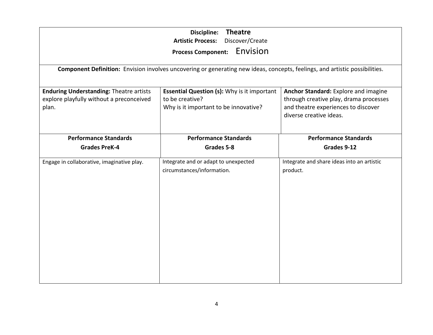| <b>Theatre</b><br><b>Discipline:</b><br><b>Artistic Process:</b><br>Discover/Create<br>Envision<br><b>Process Component:</b><br>Component Definition: Envision involves uncovering or generating new ideas, concepts, feelings, and artistic possibilities.                                                                                                               |                                                                    |                                                        |
|---------------------------------------------------------------------------------------------------------------------------------------------------------------------------------------------------------------------------------------------------------------------------------------------------------------------------------------------------------------------------|--------------------------------------------------------------------|--------------------------------------------------------|
| <b>Enduring Understanding: Theatre artists</b><br><b>Essential Question (s): Why is it important</b><br>Anchor Standard: Explore and imagine<br>explore playfully without a preconceived<br>to be creative?<br>through creative play, drama processes<br>and theatre experiences to discover<br>Why is it important to be innovative?<br>plan.<br>diverse creative ideas. |                                                                    |                                                        |
| <b>Performance Standards</b><br><b>Grades PreK-4</b>                                                                                                                                                                                                                                                                                                                      | <b>Performance Standards</b><br>Grades 5-8                         | <b>Performance Standards</b><br>Grades 9-12            |
| Engage in collaborative, imaginative play.                                                                                                                                                                                                                                                                                                                                | Integrate and or adapt to unexpected<br>circumstances/information. | Integrate and share ideas into an artistic<br>product. |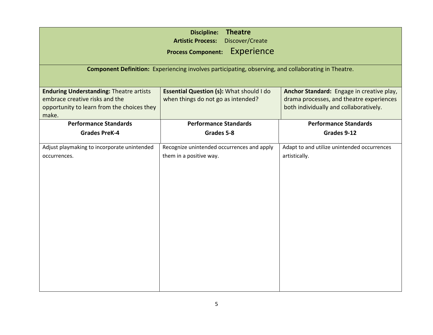| <b>Theatre</b><br><b>Discipline:</b><br>Discover/Create<br><b>Artistic Process:</b><br><b>Experience</b><br><b>Process Component:</b> |                                            |                                             |
|---------------------------------------------------------------------------------------------------------------------------------------|--------------------------------------------|---------------------------------------------|
| Component Definition: Experiencing involves participating, observing, and collaborating in Theatre.                                   |                                            |                                             |
|                                                                                                                                       |                                            |                                             |
| <b>Enduring Understanding: Theatre artists</b>                                                                                        | Essential Question (s): What should I do   | Anchor Standard: Engage in creative play,   |
| embrace creative risks and the                                                                                                        | when things do not go as intended?         | drama processes, and theatre experiences    |
| opportunity to learn from the choices they<br>make.                                                                                   |                                            | both individually and collaboratively.      |
| <b>Performance Standards</b>                                                                                                          | <b>Performance Standards</b>               | <b>Performance Standards</b>                |
| <b>Grades PreK-4</b>                                                                                                                  | Grades 5-8                                 | Grades 9-12                                 |
| Adjust playmaking to incorporate unintended                                                                                           | Recognize unintended occurrences and apply | Adapt to and utilize unintended occurrences |
| occurrences.                                                                                                                          | them in a positive way.                    | artistically.                               |
|                                                                                                                                       |                                            |                                             |
|                                                                                                                                       |                                            |                                             |
|                                                                                                                                       |                                            |                                             |
|                                                                                                                                       |                                            |                                             |
|                                                                                                                                       |                                            |                                             |
|                                                                                                                                       |                                            |                                             |
|                                                                                                                                       |                                            |                                             |
|                                                                                                                                       |                                            |                                             |
|                                                                                                                                       |                                            |                                             |
|                                                                                                                                       |                                            |                                             |
|                                                                                                                                       |                                            |                                             |
|                                                                                                                                       |                                            |                                             |
|                                                                                                                                       |                                            |                                             |
|                                                                                                                                       |                                            |                                             |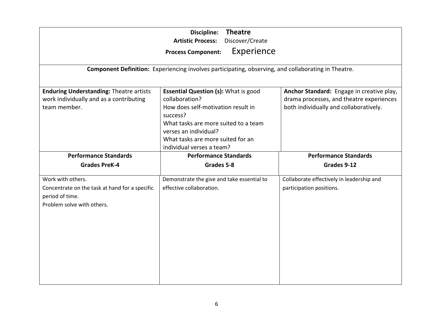| <b>Theatre</b><br>Discipline:<br>Discover/Create<br><b>Artistic Process:</b><br>Experience<br><b>Process Component:</b>                                                                                                                                                                                                                                                                                                                                                                            |                                                                                                     |                                                                       |
|----------------------------------------------------------------------------------------------------------------------------------------------------------------------------------------------------------------------------------------------------------------------------------------------------------------------------------------------------------------------------------------------------------------------------------------------------------------------------------------------------|-----------------------------------------------------------------------------------------------------|-----------------------------------------------------------------------|
|                                                                                                                                                                                                                                                                                                                                                                                                                                                                                                    | Component Definition: Experiencing involves participating, observing, and collaborating in Theatre. |                                                                       |
| <b>Enduring Understanding: Theatre artists</b><br><b>Essential Question (s): What is good</b><br>Anchor Standard: Engage in creative play,<br>work individually and as a contributing<br>collaboration?<br>drama processes, and theatre experiences<br>How does self-motivation result in<br>both individually and collaboratively.<br>team member.<br>success?<br>What tasks are more suited to a team<br>verses an individual?<br>What tasks are more suited for an<br>individual verses a team? |                                                                                                     |                                                                       |
| <b>Performance Standards</b>                                                                                                                                                                                                                                                                                                                                                                                                                                                                       | <b>Performance Standards</b>                                                                        | <b>Performance Standards</b>                                          |
| <b>Grades PreK-4</b>                                                                                                                                                                                                                                                                                                                                                                                                                                                                               | Grades 5-8                                                                                          | Grades 9-12                                                           |
| Work with others.<br>Concentrate on the task at hand for a specific<br>period of time.<br>Problem solve with others.                                                                                                                                                                                                                                                                                                                                                                               | Demonstrate the give and take essential to<br>effective collaboration.                              | Collaborate effectively in leadership and<br>participation positions. |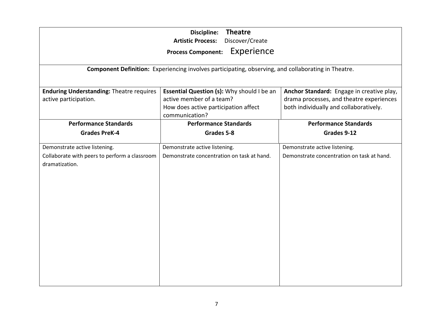| <b>Theatre</b><br><b>Discipline:</b><br><b>Artistic Process:</b><br>Discover/Create<br>Experience<br><b>Process Component:</b> |                                                                                                                                         |                                                                                                                                 |
|--------------------------------------------------------------------------------------------------------------------------------|-----------------------------------------------------------------------------------------------------------------------------------------|---------------------------------------------------------------------------------------------------------------------------------|
|                                                                                                                                | Component Definition: Experiencing involves participating, observing, and collaborating in Theatre.                                     |                                                                                                                                 |
| <b>Enduring Understanding: Theatre requires</b><br>active participation.                                                       | <b>Essential Question (s): Why should I be an</b><br>active member of a team?<br>How does active participation affect<br>communication? | Anchor Standard: Engage in creative play,<br>drama processes, and theatre experiences<br>both individually and collaboratively. |
| <b>Performance Standards</b>                                                                                                   | <b>Performance Standards</b>                                                                                                            | <b>Performance Standards</b>                                                                                                    |
| <b>Grades PreK-4</b>                                                                                                           | Grades 5-8                                                                                                                              | Grades 9-12                                                                                                                     |
| Demonstrate active listening.<br>Collaborate with peers to perform a classroom<br>dramatization.                               | Demonstrate active listening.<br>Demonstrate concentration on task at hand.                                                             | Demonstrate active listening.<br>Demonstrate concentration on task at hand.                                                     |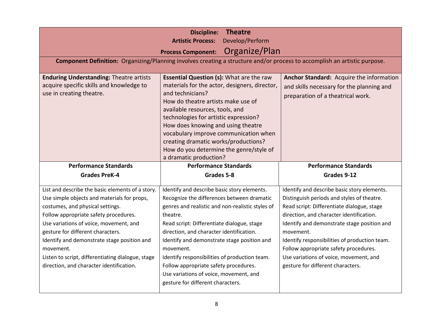| <b>Theatre</b><br><b>Discipline:</b><br><b>Artistic Process:</b><br>Develop/Perform<br>Organize/Plan<br><b>Process Component:</b><br>Component Definition: Organizing/Planning involves creating a structure and/or process to accomplish an artistic purpose.                                                        |                                                                                                                                                                                                                                                                                                                                                                                                                             |                                                                                                                                                                                                                                                                                                                             |
|-----------------------------------------------------------------------------------------------------------------------------------------------------------------------------------------------------------------------------------------------------------------------------------------------------------------------|-----------------------------------------------------------------------------------------------------------------------------------------------------------------------------------------------------------------------------------------------------------------------------------------------------------------------------------------------------------------------------------------------------------------------------|-----------------------------------------------------------------------------------------------------------------------------------------------------------------------------------------------------------------------------------------------------------------------------------------------------------------------------|
| <b>Enduring Understanding: Theatre artists</b><br>acquire specific skills and knowledge to<br>use in creating theatre.                                                                                                                                                                                                | Essential Question (s): What are the raw<br>materials for the actor, designers, director,<br>and technicians?<br>How do theatre artists make use of<br>available resources, tools, and<br>technologies for artistic expression?<br>How does knowing and using theatre<br>vocabulary improve communication when<br>creating dramatic works/productions?<br>How do you determine the genre/style of<br>a dramatic production? | Anchor Standard: Acquire the information<br>and skills necessary for the planning and<br>preparation of a theatrical work.                                                                                                                                                                                                  |
| <b>Performance Standards</b>                                                                                                                                                                                                                                                                                          | <b>Performance Standards</b>                                                                                                                                                                                                                                                                                                                                                                                                | <b>Performance Standards</b>                                                                                                                                                                                                                                                                                                |
| <b>Grades PreK-4</b>                                                                                                                                                                                                                                                                                                  | Grades 5-8                                                                                                                                                                                                                                                                                                                                                                                                                  | Grades 9-12                                                                                                                                                                                                                                                                                                                 |
| List and describe the basic elements of a story.<br>Use simple objects and materials for props,                                                                                                                                                                                                                       | Identify and describe basic story elements.<br>Recognize the differences between dramatic                                                                                                                                                                                                                                                                                                                                   | Identify and describe basic story elements.<br>Distinguish periods and styles of theatre.                                                                                                                                                                                                                                   |
| costumes, and physical settings.<br>Follow appropriate safety procedures.<br>Use variations of voice, movement, and<br>gesture for different characters.<br>Identify and demonstrate stage position and<br>movement.<br>Listen to script, differentiating dialogue, stage<br>direction, and character identification. | genres and realistic and non-realistic styles of<br>theatre.<br>Read script: Differentiate dialogue, stage<br>direction, and character identification.<br>Identify and demonstrate stage position and<br>movement.<br>Identify responsibilities of production team.<br>Follow appropriate safety procedures.<br>Use variations of voice, movement, and                                                                      | Read script: Differentiate dialogue, stage<br>direction, and character identification.<br>Identify and demonstrate stage position and<br>movement.<br>Identify responsibilities of production team.<br>Follow appropriate safety procedures.<br>Use variations of voice, movement, and<br>gesture for different characters. |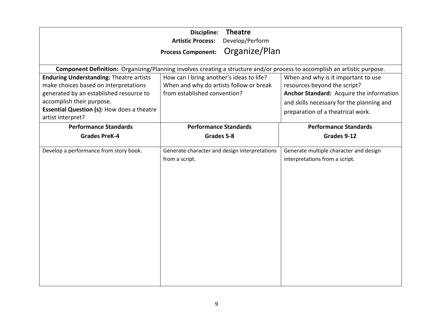| <b>Theatre</b><br><b>Discipline:</b><br>Develop/Perform<br><b>Artistic Process:</b><br>Organize/Plan<br><b>Process Component:</b> |                                                                                                                           |                                                                          |
|-----------------------------------------------------------------------------------------------------------------------------------|---------------------------------------------------------------------------------------------------------------------------|--------------------------------------------------------------------------|
|                                                                                                                                   | Component Definition: Organizing/Planning involves creating a structure and/or process to accomplish an artistic purpose. |                                                                          |
| <b>Enduring Understanding: Theatre artists</b>                                                                                    | How can I bring another's ideas to life?                                                                                  | When and why is it important to use                                      |
| make choices based on interpretations                                                                                             | When and why do artists follow or break                                                                                   | resources beyond the script?                                             |
| generated by an established resource to                                                                                           | from established convention?                                                                                              | Anchor Standard: Acquire the information                                 |
| accomplish their purpose.                                                                                                         |                                                                                                                           | and skills necessary for the planning and                                |
| <b>Essential Question (s): How does a theatre</b>                                                                                 |                                                                                                                           | preparation of a theatrical work.                                        |
| artist interpret?                                                                                                                 |                                                                                                                           |                                                                          |
| <b>Performance Standards</b>                                                                                                      | <b>Performance Standards</b>                                                                                              | <b>Performance Standards</b>                                             |
| <b>Grades PreK-4</b>                                                                                                              | Grades 5-8                                                                                                                | Grades 9-12                                                              |
| Develop a performance from story book.                                                                                            | Generate character and design interpretations<br>from a script.                                                           | Generate multiple character and design<br>interpretations from a script. |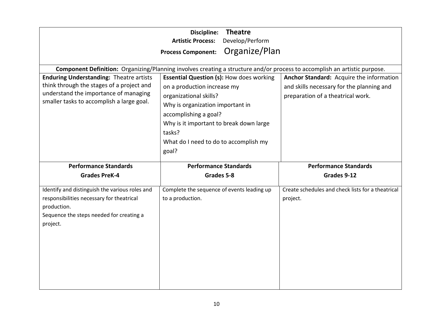| <b>Theatre</b><br><b>Discipline:</b><br>Develop/Perform<br><b>Artistic Process:</b><br>Organize/Plan<br><b>Process Component:</b>                                                 |                                                                                                                                                                                                                                       |                                                                                                                            |  |
|-----------------------------------------------------------------------------------------------------------------------------------------------------------------------------------|---------------------------------------------------------------------------------------------------------------------------------------------------------------------------------------------------------------------------------------|----------------------------------------------------------------------------------------------------------------------------|--|
| <b>Enduring Understanding: Theatre artists</b><br>think through the stages of a project and<br>understand the importance of managing<br>smaller tasks to accomplish a large goal. | Component Definition: Organizing/Planning involves creating a structure and/or process to accomplish an artistic purpose.<br><b>Essential Question (s): How does working</b><br>on a production increase my<br>organizational skills? | Anchor Standard: Acquire the information<br>and skills necessary for the planning and<br>preparation of a theatrical work. |  |
|                                                                                                                                                                                   | Why is organization important in<br>accomplishing a goal?<br>Why is it important to break down large<br>tasks?<br>What do I need to do to accomplish my<br>goal?                                                                      |                                                                                                                            |  |
| <b>Performance Standards</b>                                                                                                                                                      | <b>Performance Standards</b>                                                                                                                                                                                                          | <b>Performance Standards</b>                                                                                               |  |
| <b>Grades PreK-4</b>                                                                                                                                                              | Grades 5-8                                                                                                                                                                                                                            | Grades 9-12                                                                                                                |  |
| Identify and distinguish the various roles and<br>responsibilities necessary for theatrical<br>production.<br>Sequence the steps needed for creating a<br>project.                | Complete the sequence of events leading up<br>to a production.                                                                                                                                                                        | Create schedules and check lists for a theatrical<br>project.                                                              |  |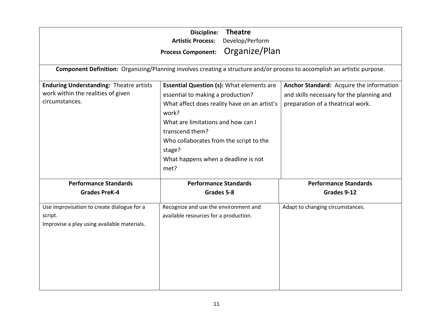|                                                                                                        | <b>Theatre</b><br>Discipline:<br>Develop/Perform<br><b>Artistic Process:</b><br>Organize/Plan<br><b>Process Component:</b>                                                                                                                                                                                  |                                                                                                                            |
|--------------------------------------------------------------------------------------------------------|-------------------------------------------------------------------------------------------------------------------------------------------------------------------------------------------------------------------------------------------------------------------------------------------------------------|----------------------------------------------------------------------------------------------------------------------------|
|                                                                                                        | Component Definition: Organizing/Planning involves creating a structure and/or process to accomplish an artistic purpose.                                                                                                                                                                                   |                                                                                                                            |
| <b>Enduring Understanding: Theatre artists</b><br>work within the realities of given<br>circumstances. | <b>Essential Question (s): What elements are</b><br>essential to making a production?<br>What affect does reality have on an artist's<br>work?<br>What are limitations and how can I<br>transcend them?<br>Who collaborates from the script to the<br>stage?<br>What happens when a deadline is not<br>met? | Anchor Standard: Acquire the information<br>and skills necessary for the planning and<br>preparation of a theatrical work. |
| <b>Performance Standards</b>                                                                           | <b>Performance Standards</b>                                                                                                                                                                                                                                                                                | <b>Performance Standards</b>                                                                                               |
| <b>Grades PreK-4</b>                                                                                   | Grades 5-8                                                                                                                                                                                                                                                                                                  | Grades 9-12                                                                                                                |
| Use improvisation to create dialogue for a<br>script.<br>Improvise a play using available materials.   | Recognize and use the environment and<br>available resources for a production.                                                                                                                                                                                                                              | Adapt to changing circumstances.                                                                                           |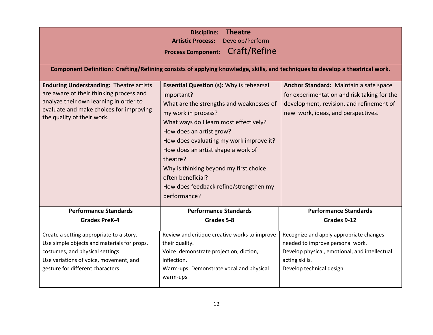|                                                                                                                                                                                                              | <b>Theatre</b><br><b>Discipline:</b><br>Develop/Perform<br><b>Artistic Process:</b><br>Craft/Refine<br><b>Process Component:</b><br>Component Definition: Crafting/Refining consists of applying knowledge, skills, and techniques to develop a theatrical work.                                                                                                                                                             |                                                                                                                                                                             |
|--------------------------------------------------------------------------------------------------------------------------------------------------------------------------------------------------------------|------------------------------------------------------------------------------------------------------------------------------------------------------------------------------------------------------------------------------------------------------------------------------------------------------------------------------------------------------------------------------------------------------------------------------|-----------------------------------------------------------------------------------------------------------------------------------------------------------------------------|
| <b>Enduring Understanding: Theatre artists</b><br>are aware of their thinking process and<br>analyze their own learning in order to<br>evaluate and make choices for improving<br>the quality of their work. | <b>Essential Question (s): Why is rehearsal</b><br>important?<br>What are the strengths and weaknesses of<br>my work in process?<br>What ways do I learn most effectively?<br>How does an artist grow?<br>How does evaluating my work improve it?<br>How does an artist shape a work of<br>theatre?<br>Why is thinking beyond my first choice<br>often beneficial?<br>How does feedback refine/strengthen my<br>performance? | Anchor Standard: Maintain a safe space<br>for experimentation and risk taking for the<br>development, revision, and refinement of<br>new work, ideas, and perspectives.     |
| <b>Performance Standards</b>                                                                                                                                                                                 | <b>Performance Standards</b>                                                                                                                                                                                                                                                                                                                                                                                                 | <b>Performance Standards</b>                                                                                                                                                |
| <b>Grades PreK-4</b>                                                                                                                                                                                         | Grades 5-8                                                                                                                                                                                                                                                                                                                                                                                                                   | Grades 9-12                                                                                                                                                                 |
| Create a setting appropriate to a story.<br>Use simple objects and materials for props,<br>costumes, and physical settings.<br>Use variations of voice, movement, and<br>gesture for different characters.   | Review and critique creative works to improve<br>their quality.<br>Voice: demonstrate projection, diction,<br>inflection.<br>Warm-ups: Demonstrate vocal and physical<br>warm-ups.                                                                                                                                                                                                                                           | Recognize and apply appropriate changes<br>needed to improve personal work.<br>Develop physical, emotional, and intellectual<br>acting skills.<br>Develop technical design. |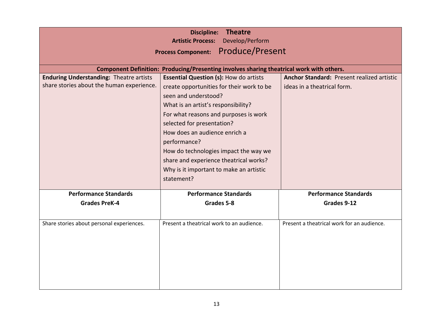|                                                | <b>Theatre</b><br><b>Discipline:</b><br>Develop/Perform<br><b>Artistic Process:</b><br><b>Produce/Present</b><br><b>Process Component:</b> |                                            |
|------------------------------------------------|--------------------------------------------------------------------------------------------------------------------------------------------|--------------------------------------------|
|                                                | Component Definition: Producing/Presenting involves sharing theatrical work with others.                                                   |                                            |
| <b>Enduring Understanding: Theatre artists</b> | <b>Essential Question (s): How do artists</b>                                                                                              | Anchor Standard: Present realized artistic |
| share stories about the human experience.      | create opportunities for their work to be                                                                                                  | ideas in a theatrical form.                |
|                                                | seen and understood?                                                                                                                       |                                            |
|                                                | What is an artist's responsibility?                                                                                                        |                                            |
|                                                | For what reasons and purposes is work                                                                                                      |                                            |
|                                                | selected for presentation?                                                                                                                 |                                            |
|                                                | How does an audience enrich a                                                                                                              |                                            |
|                                                | performance?                                                                                                                               |                                            |
|                                                |                                                                                                                                            |                                            |
|                                                | How do technologies impact the way we                                                                                                      |                                            |
|                                                | share and experience theatrical works?                                                                                                     |                                            |
|                                                | Why is it important to make an artistic                                                                                                    |                                            |
|                                                | statement?                                                                                                                                 |                                            |
| <b>Performance Standards</b>                   | <b>Performance Standards</b>                                                                                                               | <b>Performance Standards</b>               |
| <b>Grades PreK-4</b>                           | Grades 5-8                                                                                                                                 | Grades 9-12                                |
|                                                |                                                                                                                                            |                                            |
| Share stories about personal experiences.      | Present a theatrical work to an audience.                                                                                                  | Present a theatrical work for an audience. |
|                                                |                                                                                                                                            |                                            |
|                                                |                                                                                                                                            |                                            |
|                                                |                                                                                                                                            |                                            |
|                                                |                                                                                                                                            |                                            |
|                                                |                                                                                                                                            |                                            |
|                                                |                                                                                                                                            |                                            |
|                                                |                                                                                                                                            |                                            |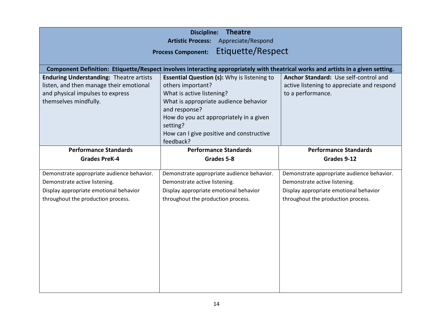|                                                                                                                                                        | <b>Theatre</b><br><b>Discipline:</b><br>Appreciate/Respond<br><b>Artistic Process:</b>                                                                                                                                                                                         |                                                                                                          |
|--------------------------------------------------------------------------------------------------------------------------------------------------------|--------------------------------------------------------------------------------------------------------------------------------------------------------------------------------------------------------------------------------------------------------------------------------|----------------------------------------------------------------------------------------------------------|
|                                                                                                                                                        | <b>Etiquette/Respect</b><br><b>Process Component:</b>                                                                                                                                                                                                                          |                                                                                                          |
|                                                                                                                                                        | Component Definition: Etiquette/Respect involves interacting appropriately with theatrical works and artists in a given setting.                                                                                                                                               |                                                                                                          |
| <b>Enduring Understanding: Theatre artists</b><br>listen, and then manage their emotional<br>and physical impulses to express<br>themselves mindfully. | <b>Essential Question (s): Why is listening to</b><br>others important?<br>What is active listening?<br>What is appropriate audience behavior<br>and response?<br>How do you act appropriately in a given<br>setting?<br>How can I give positive and constructive<br>feedback? | Anchor Standard: Use self-control and<br>active listening to appreciate and respond<br>to a performance. |
| <b>Performance Standards</b>                                                                                                                           | <b>Performance Standards</b>                                                                                                                                                                                                                                                   | <b>Performance Standards</b>                                                                             |
| <b>Grades PreK-4</b>                                                                                                                                   | Grades 5-8                                                                                                                                                                                                                                                                     | Grades 9-12                                                                                              |
|                                                                                                                                                        |                                                                                                                                                                                                                                                                                |                                                                                                          |
| Demonstrate appropriate audience behavior.                                                                                                             | Demonstrate appropriate audience behavior.                                                                                                                                                                                                                                     | Demonstrate appropriate audience behavior.                                                               |
| Demonstrate active listening.                                                                                                                          | Demonstrate active listening.                                                                                                                                                                                                                                                  | Demonstrate active listening.                                                                            |
| Display appropriate emotional behavior                                                                                                                 | Display appropriate emotional behavior                                                                                                                                                                                                                                         | Display appropriate emotional behavior                                                                   |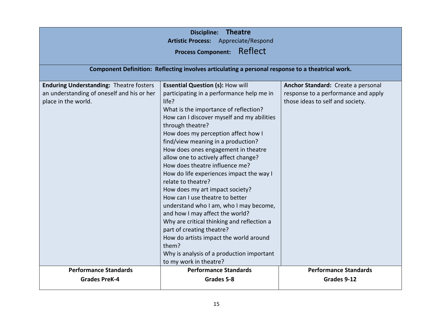| <b>Theatre</b><br><b>Discipline:</b><br>Artistic Process: Appreciate/Respond<br>Reflect<br><b>Process Component:</b><br>Component Definition: Reflecting involves articulating a personal response to a theatrical work. |                                                                                                                                                                                                                                                                                                                                                                                                                                                                                                                                                                                                                                                                                                                                                                                                        |                                                                                                               |
|--------------------------------------------------------------------------------------------------------------------------------------------------------------------------------------------------------------------------|--------------------------------------------------------------------------------------------------------------------------------------------------------------------------------------------------------------------------------------------------------------------------------------------------------------------------------------------------------------------------------------------------------------------------------------------------------------------------------------------------------------------------------------------------------------------------------------------------------------------------------------------------------------------------------------------------------------------------------------------------------------------------------------------------------|---------------------------------------------------------------------------------------------------------------|
|                                                                                                                                                                                                                          |                                                                                                                                                                                                                                                                                                                                                                                                                                                                                                                                                                                                                                                                                                                                                                                                        |                                                                                                               |
| <b>Enduring Understanding: Theatre fosters</b><br>an understanding of oneself and his or her<br>place in the world.                                                                                                      | <b>Essential Question (s): How will</b><br>participating in a performance help me in<br>life?<br>What is the importance of reflection?<br>How can I discover myself and my abilities<br>through theatre?<br>How does my perception affect how I<br>find/view meaning in a production?<br>How does ones engagement in theatre<br>allow one to actively affect change?<br>How does theatre influence me?<br>How do life experiences impact the way I<br>relate to theatre?<br>How does my art impact society?<br>How can I use theatre to better<br>understand who I am, who I may become,<br>and how I may affect the world?<br>Why are critical thinking and reflection a<br>part of creating theatre?<br>How do artists impact the world around<br>them?<br>Why is analysis of a production important | Anchor Standard: Create a personal<br>response to a performance and apply<br>those ideas to self and society. |
|                                                                                                                                                                                                                          | to my work in theatre?                                                                                                                                                                                                                                                                                                                                                                                                                                                                                                                                                                                                                                                                                                                                                                                 |                                                                                                               |
| <b>Performance Standards</b><br><b>Grades PreK-4</b>                                                                                                                                                                     | <b>Performance Standards</b><br>Grades 5-8                                                                                                                                                                                                                                                                                                                                                                                                                                                                                                                                                                                                                                                                                                                                                             | <b>Performance Standards</b><br>Grades 9-12                                                                   |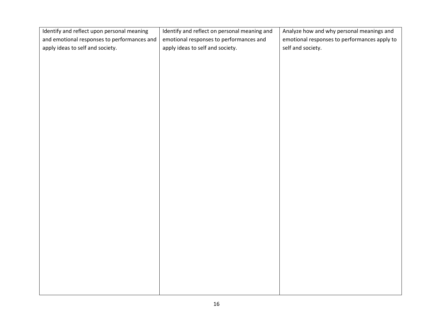| Identify and reflect upon personal meaning  | Identify and reflect on personal meaning and | Analyze how and why personal meanings and    |
|---------------------------------------------|----------------------------------------------|----------------------------------------------|
| and emotional responses to performances and | emotional responses to performances and      | emotional responses to performances apply to |
| apply ideas to self and society.            | apply ideas to self and society.             | self and society.                            |
|                                             |                                              |                                              |
|                                             |                                              |                                              |
|                                             |                                              |                                              |
|                                             |                                              |                                              |
|                                             |                                              |                                              |
|                                             |                                              |                                              |
|                                             |                                              |                                              |
|                                             |                                              |                                              |
|                                             |                                              |                                              |
|                                             |                                              |                                              |
|                                             |                                              |                                              |
|                                             |                                              |                                              |
|                                             |                                              |                                              |
|                                             |                                              |                                              |
|                                             |                                              |                                              |
|                                             |                                              |                                              |
|                                             |                                              |                                              |
|                                             |                                              |                                              |
|                                             |                                              |                                              |
|                                             |                                              |                                              |
|                                             |                                              |                                              |
|                                             |                                              |                                              |
|                                             |                                              |                                              |
|                                             |                                              |                                              |
|                                             |                                              |                                              |
|                                             |                                              |                                              |
|                                             |                                              |                                              |
|                                             |                                              |                                              |
|                                             |                                              |                                              |
|                                             |                                              |                                              |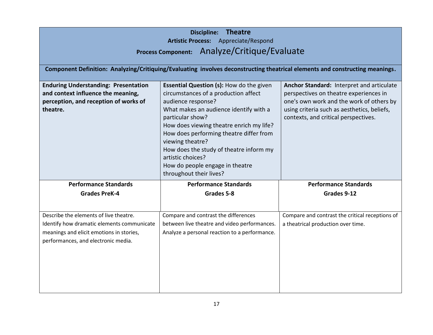| <b>Theatre</b><br><b>Discipline:</b><br>Artistic Process: Appreciate/Respond<br>Process Component: Analyze/Critique/Evaluate                                            |                                                                                                                                                                                                                                                                                                                                                                                                                      |                                                                                                                                                                                                                        |
|-------------------------------------------------------------------------------------------------------------------------------------------------------------------------|----------------------------------------------------------------------------------------------------------------------------------------------------------------------------------------------------------------------------------------------------------------------------------------------------------------------------------------------------------------------------------------------------------------------|------------------------------------------------------------------------------------------------------------------------------------------------------------------------------------------------------------------------|
|                                                                                                                                                                         | Component Definition: Analyzing/Critiquing/Evaluating involves deconstructing theatrical elements and constructing meanings.                                                                                                                                                                                                                                                                                         |                                                                                                                                                                                                                        |
| <b>Enduring Understanding: Presentation</b><br>and context influence the meaning,<br>perception, and reception of works of<br>theatre.                                  | <b>Essential Question (s): How do the given</b><br>circumstances of a production affect<br>audience response?<br>What makes an audience identify with a<br>particular show?<br>How does viewing theatre enrich my life?<br>How does performing theatre differ from<br>viewing theatre?<br>How does the study of theatre inform my<br>artistic choices?<br>How do people engage in theatre<br>throughout their lives? | Anchor Standard: Interpret and articulate<br>perspectives on theatre experiences in<br>one's own work and the work of others by<br>using criteria such as aesthetics, beliefs,<br>contexts, and critical perspectives. |
| <b>Performance Standards</b>                                                                                                                                            | <b>Performance Standards</b>                                                                                                                                                                                                                                                                                                                                                                                         | <b>Performance Standards</b>                                                                                                                                                                                           |
| <b>Grades PreK-4</b>                                                                                                                                                    | Grades 5-8                                                                                                                                                                                                                                                                                                                                                                                                           | Grades 9-12                                                                                                                                                                                                            |
| Describe the elements of live theatre.<br>Identify how dramatic elements communicate<br>meanings and elicit emotions in stories,<br>performances, and electronic media. | Compare and contrast the differences<br>between live theatre and video performances.<br>Analyze a personal reaction to a performance.                                                                                                                                                                                                                                                                                | Compare and contrast the critical receptions of<br>a theatrical production over time.                                                                                                                                  |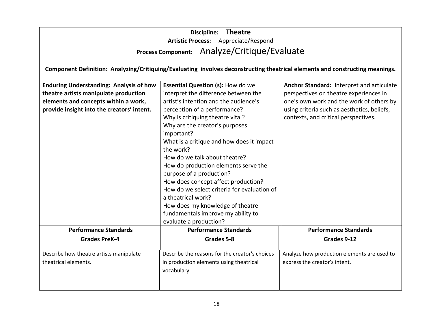|                                                | <b>Theatre</b><br>Discipline:                                                                                                |                                             |
|------------------------------------------------|------------------------------------------------------------------------------------------------------------------------------|---------------------------------------------|
|                                                | Artistic Process: Appreciate/Respond<br>Process Component: Analyze/Critique/Evaluate                                         |                                             |
|                                                |                                                                                                                              |                                             |
|                                                | Component Definition: Analyzing/Critiquing/Evaluating involves deconstructing theatrical elements and constructing meanings. |                                             |
| <b>Enduring Understanding: Analysis of how</b> | <b>Essential Question (s): How do we</b>                                                                                     | Anchor Standard: Interpret and articulate   |
| theatre artists manipulate production          | interpret the difference between the                                                                                         | perspectives on theatre experiences in      |
| elements and concepts within a work,           | artist's intention and the audience's                                                                                        | one's own work and the work of others by    |
| provide insight into the creators' intent.     | perception of a performance?                                                                                                 | using criteria such as aesthetics, beliefs, |
|                                                | Why is critiquing theatre vital?                                                                                             | contexts, and critical perspectives.        |
|                                                | Why are the creator's purposes                                                                                               |                                             |
|                                                | important?                                                                                                                   |                                             |
|                                                | What is a critique and how does it impact                                                                                    |                                             |
|                                                | the work?                                                                                                                    |                                             |
|                                                | How do we talk about theatre?                                                                                                |                                             |
|                                                | How do production elements serve the                                                                                         |                                             |
|                                                | purpose of a production?                                                                                                     |                                             |
|                                                | How does concept affect production?                                                                                          |                                             |
|                                                | How do we select criteria for evaluation of                                                                                  |                                             |
|                                                | a theatrical work?                                                                                                           |                                             |
|                                                | How does my knowledge of theatre                                                                                             |                                             |
|                                                | fundamentals improve my ability to                                                                                           |                                             |
|                                                | evaluate a production?                                                                                                       |                                             |
| <b>Performance Standards</b>                   | <b>Performance Standards</b>                                                                                                 | <b>Performance Standards</b>                |
| <b>Grades PreK-4</b>                           | Grades 5-8                                                                                                                   | Grades 9-12                                 |
| Describe how theatre artists manipulate        | Describe the reasons for the creator's choices                                                                               | Analyze how production elements are used to |
| theatrical elements.                           | in production elements using theatrical                                                                                      | express the creator's intent.               |
|                                                | vocabulary.                                                                                                                  |                                             |
|                                                |                                                                                                                              |                                             |
|                                                |                                                                                                                              |                                             |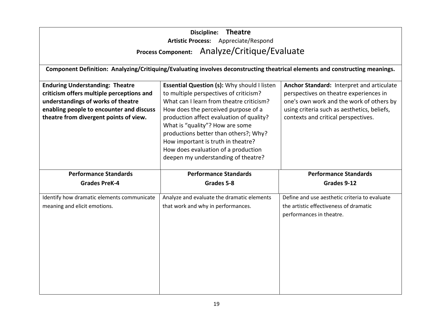|                                            | Discipline: Theatre                                                                                                          |                                               |
|--------------------------------------------|------------------------------------------------------------------------------------------------------------------------------|-----------------------------------------------|
|                                            | Artistic Process: Appreciate/Respond                                                                                         |                                               |
|                                            | Process Component: Analyze/Critique/Evaluate                                                                                 |                                               |
|                                            |                                                                                                                              |                                               |
|                                            | Component Definition: Analyzing/Critiquing/Evaluating involves deconstructing theatrical elements and constructing meanings. |                                               |
|                                            |                                                                                                                              |                                               |
| <b>Enduring Understanding: Theatre</b>     | Essential Question (s): Why should I listen                                                                                  | Anchor Standard: Interpret and articulate     |
| criticism offers multiple perceptions and  | to multiple perspectives of criticism?                                                                                       | perspectives on theatre experiences in        |
| understandings of works of theatre         | What can I learn from theatre criticism?                                                                                     | one's own work and the work of others by      |
| enabling people to encounter and discuss   | How does the perceived purpose of a                                                                                          | using criteria such as aesthetics, beliefs,   |
| theatre from divergent points of view.     | production affect evaluation of quality?                                                                                     | contexts and critical perspectives.           |
|                                            | What is "quality"? How are some                                                                                              |                                               |
|                                            | productions better than others?; Why?                                                                                        |                                               |
|                                            | How important is truth in theatre?                                                                                           |                                               |
|                                            | How does evaluation of a production                                                                                          |                                               |
|                                            | deepen my understanding of theatre?                                                                                          |                                               |
| <b>Performance Standards</b>               | <b>Performance Standards</b>                                                                                                 | <b>Performance Standards</b>                  |
|                                            |                                                                                                                              |                                               |
| <b>Grades PreK-4</b>                       | Grades 5-8                                                                                                                   | Grades 9-12                                   |
| Identify how dramatic elements communicate | Analyze and evaluate the dramatic elements                                                                                   | Define and use aesthetic criteria to evaluate |
| meaning and elicit emotions.               | that work and why in performances.                                                                                           | the artistic effectiveness of dramatic        |
|                                            |                                                                                                                              | performances in theatre.                      |
|                                            |                                                                                                                              |                                               |
|                                            |                                                                                                                              |                                               |
|                                            |                                                                                                                              |                                               |
|                                            |                                                                                                                              |                                               |
|                                            |                                                                                                                              |                                               |
|                                            |                                                                                                                              |                                               |
|                                            |                                                                                                                              |                                               |
|                                            |                                                                                                                              |                                               |
|                                            |                                                                                                                              |                                               |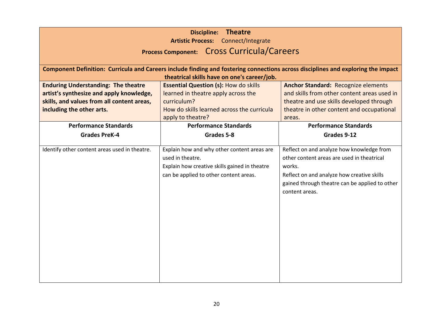| <b>Theatre</b><br><b>Discipline:</b><br>Artistic Process: Connect/Integrate<br>Process Component: Cross Curricula/Careers                                         |                                                                                                                                                                       |                                                                                                                                                                                                                     |
|-------------------------------------------------------------------------------------------------------------------------------------------------------------------|-----------------------------------------------------------------------------------------------------------------------------------------------------------------------|---------------------------------------------------------------------------------------------------------------------------------------------------------------------------------------------------------------------|
|                                                                                                                                                                   | theatrical skills have on one's career/job.                                                                                                                           | Component Definition: Curricula and Careers include finding and fostering connections across disciplines and exploring the impact                                                                                   |
| <b>Enduring Understanding: The theatre</b><br>artist's synthesize and apply knowledge,<br>skills, and values from all content areas,<br>including the other arts. | <b>Essential Question (s): How do skills</b><br>learned in theatre apply across the<br>curriculum?<br>How do skills learned across the curricula<br>apply to theatre? | <b>Anchor Standard: Recognize elements</b><br>and skills from other content areas used in<br>theatre and use skills developed through<br>theatre in other content and occupational<br>areas.                        |
| <b>Performance Standards</b>                                                                                                                                      | <b>Performance Standards</b>                                                                                                                                          | <b>Performance Standards</b>                                                                                                                                                                                        |
| <b>Grades PreK-4</b>                                                                                                                                              | Grades 5-8                                                                                                                                                            | Grades 9-12                                                                                                                                                                                                         |
| Identify other content areas used in theatre.                                                                                                                     | Explain how and why other content areas are<br>used in theatre.<br>Explain how creative skills gained in theatre<br>can be applied to other content areas.            | Reflect on and analyze how knowledge from<br>other content areas are used in theatrical<br>works.<br>Reflect on and analyze how creative skills<br>gained through theatre can be applied to other<br>content areas. |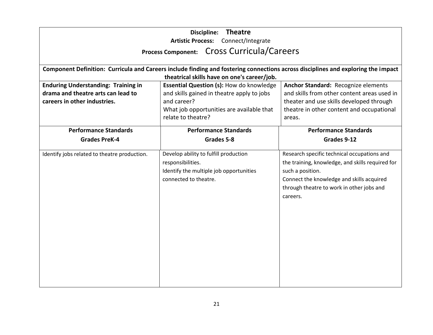|                                              | <b>Theatre</b><br><b>Discipline:</b><br>Artistic Process: Connect/Integrate                                                                                                      |                                                  |
|----------------------------------------------|----------------------------------------------------------------------------------------------------------------------------------------------------------------------------------|--------------------------------------------------|
|                                              | Process Component: Cross Curricula/Careers                                                                                                                                       |                                                  |
|                                              |                                                                                                                                                                                  |                                                  |
|                                              | Component Definition: Curricula and Careers include finding and fostering connections across disciplines and exploring the impact<br>theatrical skills have on one's career/job. |                                                  |
| <b>Enduring Understanding: Training in</b>   | Essential Question (s): How do knowledge                                                                                                                                         | Anchor Standard: Recognize elements              |
| drama and theatre arts can lead to           | and skills gained in theatre apply to jobs                                                                                                                                       | and skills from other content areas used in      |
| careers in other industries.                 | and career?                                                                                                                                                                      | theater and use skills developed through         |
|                                              | What job opportunities are available that                                                                                                                                        | theatre in other content and occupational        |
|                                              | relate to theatre?                                                                                                                                                               | areas.                                           |
| <b>Performance Standards</b>                 | <b>Performance Standards</b>                                                                                                                                                     | <b>Performance Standards</b>                     |
| <b>Grades PreK-4</b>                         | Grades 5-8                                                                                                                                                                       | Grades 9-12                                      |
| Identify jobs related to theatre production. | Develop ability to fulfill production                                                                                                                                            | Research specific technical occupations and      |
|                                              | responsibilities.                                                                                                                                                                | the training, knowledge, and skills required for |
|                                              | Identify the multiple job opportunities                                                                                                                                          | such a position.                                 |
|                                              | connected to theatre.                                                                                                                                                            | Connect the knowledge and skills acquired        |
|                                              |                                                                                                                                                                                  | through theatre to work in other jobs and        |
|                                              |                                                                                                                                                                                  | careers.                                         |
|                                              |                                                                                                                                                                                  |                                                  |
|                                              |                                                                                                                                                                                  |                                                  |
|                                              |                                                                                                                                                                                  |                                                  |
|                                              |                                                                                                                                                                                  |                                                  |
|                                              |                                                                                                                                                                                  |                                                  |
|                                              |                                                                                                                                                                                  |                                                  |
|                                              |                                                                                                                                                                                  |                                                  |
|                                              |                                                                                                                                                                                  |                                                  |
|                                              |                                                                                                                                                                                  |                                                  |
|                                              |                                                                                                                                                                                  |                                                  |
|                                              |                                                                                                                                                                                  |                                                  |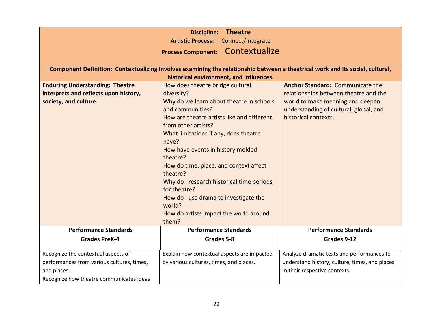|                                            | <b>Theatre</b><br><b>Discipline:</b>                                                                                          |                                                |
|--------------------------------------------|-------------------------------------------------------------------------------------------------------------------------------|------------------------------------------------|
|                                            | <b>Artistic Process:</b><br>Connect/Integrate                                                                                 |                                                |
|                                            | Contextualize<br><b>Process Component:</b>                                                                                    |                                                |
|                                            |                                                                                                                               |                                                |
|                                            | Component Definition: Contextualizing involves examining the relationship between a theatrical work and its social, cultural, |                                                |
|                                            | historical environment, and influences.                                                                                       |                                                |
| <b>Enduring Understanding: Theatre</b>     | How does theatre bridge cultural                                                                                              | <b>Anchor Standard: Communicate the</b>        |
| interprets and reflects upon history,      | diversity?                                                                                                                    | relationships between theatre and the          |
| society, and culture.                      | Why do we learn about theatre in schools                                                                                      | world to make meaning and deepen               |
|                                            | and communities?                                                                                                              | understanding of cultural, global, and         |
|                                            | How are theatre artists like and different                                                                                    | historical contexts.                           |
|                                            | from other artists?                                                                                                           |                                                |
|                                            | What limitations if any, does theatre                                                                                         |                                                |
|                                            | have?                                                                                                                         |                                                |
|                                            | How have events in history molded<br>theatre?                                                                                 |                                                |
|                                            | How do time, place, and context affect                                                                                        |                                                |
|                                            | theatre?                                                                                                                      |                                                |
|                                            | Why do I research historical time periods                                                                                     |                                                |
|                                            | for theatre?                                                                                                                  |                                                |
|                                            | How do I use drama to investigate the                                                                                         |                                                |
|                                            | world?                                                                                                                        |                                                |
|                                            | How do artists impact the world around                                                                                        |                                                |
|                                            | them?                                                                                                                         |                                                |
| <b>Performance Standards</b>               | <b>Performance Standards</b>                                                                                                  | <b>Performance Standards</b>                   |
| <b>Grades PreK-4</b>                       | Grades 5-8                                                                                                                    | Grades 9-12                                    |
| Recognize the contextual aspects of        | Explain how contextual aspects are impacted                                                                                   | Analyze dramatic texts and performances to     |
| performances from various cultures, times, | by various cultures, times, and places.                                                                                       | understand history, culture, times, and places |
| and places.                                |                                                                                                                               | in their respective contexts.                  |
| Recognize how theatre communicates ideas   |                                                                                                                               |                                                |
|                                            |                                                                                                                               |                                                |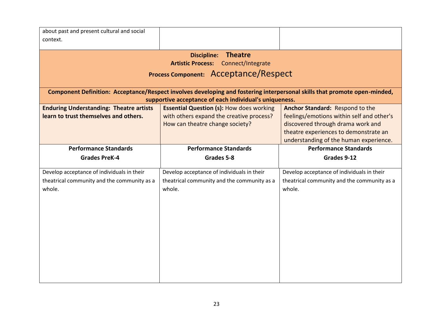| about past and present cultural and social     |                                                                                                                           |                                             |  |
|------------------------------------------------|---------------------------------------------------------------------------------------------------------------------------|---------------------------------------------|--|
| context.                                       |                                                                                                                           |                                             |  |
|                                                |                                                                                                                           |                                             |  |
|                                                | <b>Theatre</b><br><b>Discipline:</b>                                                                                      |                                             |  |
|                                                | Artistic Process: Connect/Integrate                                                                                       |                                             |  |
| Process Component: Acceptance/Respect          |                                                                                                                           |                                             |  |
|                                                |                                                                                                                           |                                             |  |
|                                                | Component Definition: Acceptance/Respect involves developing and fostering interpersonal skills that promote open-minded, |                                             |  |
|                                                | supportive acceptance of each individual's uniqueness.                                                                    |                                             |  |
| <b>Enduring Understanding: Theatre artists</b> | <b>Essential Question (s): How does working</b>                                                                           | Anchor Standard: Respond to the             |  |
| learn to trust themselves and others.          | with others expand the creative process?                                                                                  | feelings/emotions within self and other's   |  |
|                                                | How can theatre change society?                                                                                           | discovered through drama work and           |  |
|                                                |                                                                                                                           | theatre experiences to demonstrate an       |  |
|                                                |                                                                                                                           | understanding of the human experience.      |  |
| <b>Performance Standards</b>                   | <b>Performance Standards</b>                                                                                              | <b>Performance Standards</b>                |  |
| <b>Grades PreK-4</b>                           | Grades 5-8                                                                                                                | Grades 9-12                                 |  |
|                                                |                                                                                                                           |                                             |  |
|                                                |                                                                                                                           |                                             |  |
| Develop acceptance of individuals in their     | Develop acceptance of individuals in their                                                                                | Develop acceptance of individuals in their  |  |
| theatrical community and the community as a    | theatrical community and the community as a                                                                               | theatrical community and the community as a |  |
| whole.                                         | whole.                                                                                                                    | whole.                                      |  |
|                                                |                                                                                                                           |                                             |  |
|                                                |                                                                                                                           |                                             |  |
|                                                |                                                                                                                           |                                             |  |
|                                                |                                                                                                                           |                                             |  |
|                                                |                                                                                                                           |                                             |  |
|                                                |                                                                                                                           |                                             |  |
|                                                |                                                                                                                           |                                             |  |
|                                                |                                                                                                                           |                                             |  |
|                                                |                                                                                                                           |                                             |  |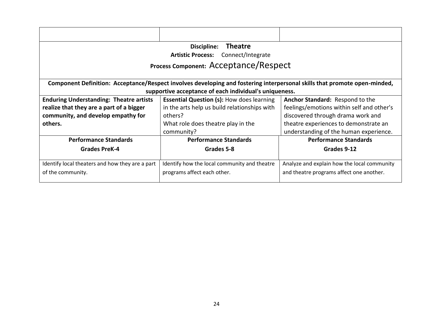| <b>Theatre</b><br>Discipline:                                                                                             |                                                  |                                             |
|---------------------------------------------------------------------------------------------------------------------------|--------------------------------------------------|---------------------------------------------|
| Artistic Process: Connect/Integrate                                                                                       |                                                  |                                             |
| Process Component: Acceptance/Respect                                                                                     |                                                  |                                             |
|                                                                                                                           |                                                  |                                             |
| Component Definition: Acceptance/Respect involves developing and fostering interpersonal skills that promote open-minded, |                                                  |                                             |
| supportive acceptance of each individual's uniqueness.                                                                    |                                                  |                                             |
| <b>Enduring Understanding: Theatre artists</b>                                                                            | <b>Essential Question (s): How does learning</b> | Anchor Standard: Respond to the             |
| realize that they are a part of a bigger                                                                                  | in the arts help us build relationships with     | feelings/emotions within self and other's   |
| community, and develop empathy for                                                                                        | others?                                          | discovered through drama work and           |
| others.                                                                                                                   | What role does theatre play in the               | theatre experiences to demonstrate an       |
|                                                                                                                           | community?                                       | understanding of the human experience.      |
| <b>Performance Standards</b>                                                                                              | <b>Performance Standards</b>                     | <b>Performance Standards</b>                |
| <b>Grades PreK-4</b>                                                                                                      | Grades 5-8                                       | Grades 9-12                                 |
|                                                                                                                           |                                                  |                                             |
| Identify local theaters and how they are a part                                                                           | Identify how the local community and theatre     | Analyze and explain how the local community |
| of the community.                                                                                                         | programs affect each other.                      | and theatre programs affect one another.    |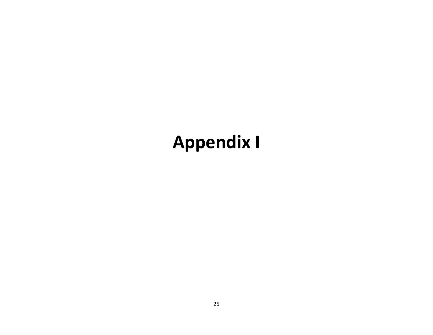## **Appendix I**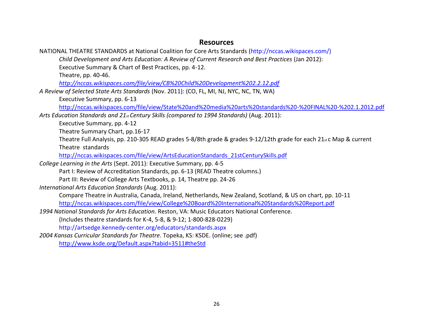#### **Resources**

NATIONAL THEATRE STANDARDS at National Coalition for Core Arts Standards (http://nccas.wikispaces.com/) *Child Development and Arts Education: A Review of Current Research and Best Practices* (Jan 2012): Executive Summary & Chart of Best Practices, pp. 4-12. Theatre, pp. 40-46. *<http://nccas.wikispaces.com/file/view/CB%20Child%20Development%202.2.12.pdf> A Review of Selected State Arts Standards* (Nov. 2011): (CO, FL, MI, NJ, NYC, NC, TN, WA) Executive Summary, pp. 6-13 <http://nccas.wikispaces.com/file/view/State%20and%20media%20arts%20standards%20-%20FINAL%20-%202.1.2012.pdf> *Arts Education Standards and 21st Century Skills (compared to 1994 Standards)* (Aug. 2011): Executive Summary, pp. 4-12 Theatre Summary Chart, pp.16-17 Theatre Full Analysis, pp. 210-305 READ grades 5-8/8th grade & grades 9-12/12th grade for each 21 $_{\rm st}$ c Map & current Theatre standards [http://nccas.wikispaces.com/file/view/ArtsEducationStandards\\_21stCenturySkills.pdf](http://nccas.wikispaces.com/file/view/ArtsEducationStandards_21stCenturySkills.pdf) *College Learning in the Arts* (Sept. 2011): Executive Summary, pp. 4-5 Part I: Review of Accreditation Standards, pp. 6-13 (READ Theatre columns.) Part III: Review of College Arts Textbooks, p. 14, Theatre pp. 24-26 *International Arts Education Standards* (Aug. 2011): Compare Theatre in Australia, Canada, Ireland, Netherlands, New Zealand, Scotland, & US on chart, pp. 10-11 <http://nccas.wikispaces.com/file/view/College%20Board%20International%20Standards%20Report.pdf> *1994 National Standards for Arts Education.* Reston, VA: Music Educators National Conference. (Includes theatre standards for K-4, 5-8, & 9-12; 1-800-828-0229) http://artsedge.kennedy-center.org/educators/standards.aspx *2004 Kansas Curricular Standards for Theatre.* Topeka, KS: KSDE. (online; see .pdf) <http://www.ksde.org/Default.aspx?tabid=3511#theStd>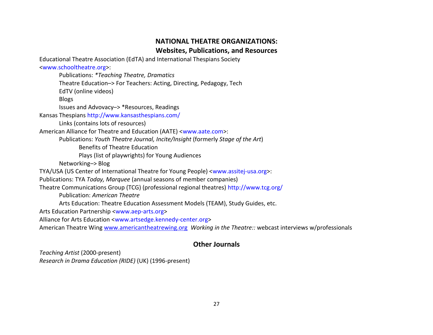#### **NATIONAL THEATRE ORGANIZATIONS: Websites, Publications, and Resources**

Educational Theatre Association (EdTA) and International Thespians Society

#### <www.schooltheatre.org>:

Publications: *\*Teaching Theatre, Dramatics* Theatre Education–> For Teachers: Acting, Directing, Pedagogy, Tech EdTV (online videos) Blogs Issues and Advovacy–> \*Resources, Readings

Kansas Thespians http://www.kansasthespians.com/

Links (contains lots of resources)

American Alliance for Theatre and Education (AATE) <www.aate.com>:

Publications: *Youth Theatre Journal, Incite/Insight* (formerly *Stage of the Art*)

Benefits of Theatre Education

Plays (list of playwrights) for Young Audiences

Networking–> Blog

TYA/USA (US Center of International Theatre for Young People) <www.assitej-usa.org>:

Publications: TYA *Today, Marquee* (annual seasons of member companies)

Theatre Communications Group (TCG) (professional regional theatres) http://www.tcg.org/

Publication: *American Theatre*

Arts Education: Theatre Education Assessment Models (TEAM), Study Guides, etc.

Arts Education Partnership <www.aep-arts.org>

Alliance for Arts Education <www.artsedge.kennedy-center.org>

American Theatre Wing [www.americantheatrewing.org](http://www.americantheatrewing.org/) *Working in the Theatre::* webcast interviews w/professionals

#### **Other Journals**

*Teaching Artist* (2000-present) *Research in Drama Education (RIDE)* (UK) (1996-present)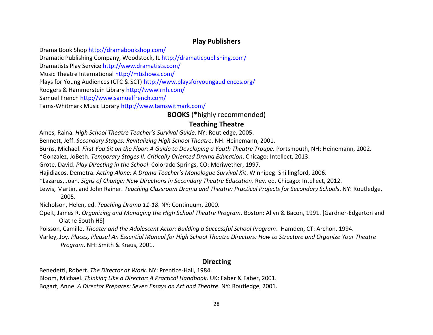#### **Play Publishers**

Drama Book Shop http://dramabookshop.com/

Dramatic Publishing Company, Woodstock, IL http://dramaticpublishing.com/

Dramatists Play Service http://www.dramatists.com/

Music Theatre International http://mtishows.com/

Plays for Young Audiences (CTC & SCT) http://www.playsforyoungaudiences.org/

Rodgers & Hammerstein Library http://www.rnh.com/

Samuel French http://www.samuelfrench.com/

Tams-Whitmark Music Library http://www.tamswitmark.com/

#### **BOOKS** (\*highly recommended)

#### **Teaching Theatre**

Ames, Raina. *High School Theatre Teacher's Survival Guide*. NY: Routledge, 2005.

Bennett, Jeff. *Secondary Stages: Revitalizing High School Theatre*. NH: Heinemann, 2001.

Burns, Michael. *First You Sit on the Floor: A Guide to Developing a Youth Theatre Troupe.* Portsmouth, NH: Heinemann, 2002.

\*Gonzalez, JoBeth. *Temporary Stages II: Critically Oriented Drama Education*. Chicago: Intellect, 2013.

Grote, David. *Play Directing in the School*. Colorado Springs, CO: Meriwether, 1997.

Hajidiacos, Demetra. *Acting Alone: A Drama Teacher's Monologue Survival Kit*. Winnipeg: Shillingford, 2006.

\*Lazarus, Joan. *Signs of Change: New Directions in Secondary Theatre Education*. Rev. ed. Chicago: Intellect, 2012.

Lewis, Martin, and John Rainer. *Teaching Classroom Drama and Theatre: Practical Projects for Secondary Schools*. NY: Routledge, 2005.

Nicholson, Helen, ed. *Teaching Drama 11-18*. NY: Continuum, 2000.

Opelt, James R. *Organizing and Managing the High School Theatre Program*. Boston: Allyn & Bacon, 1991. [Gardner-Edgerton and Olathe South HS]

Poisson, Camille. *Theater and the Adolescent Actor: Building a Successful School Program*. Hamden, CT: Archon, 1994.

Varley, Joy. *Places, Please! An Essential Manual for High School Theatre Directors: How to Structure and Organize Your Theatre Program*. NH: Smith & Kraus, 2001.

#### **Directing**

Benedetti, Robert. *The Director at Work*. NY: Prentice-Hall, 1984.

Bloom, Michael. *Thinking Like a Director: A Practical Handbook*. UK: Faber & Faber, 2001.

Bogart, Anne. *A Director Prepares: Seven Essays on Art and Theatre*. NY: Routledge, 2001.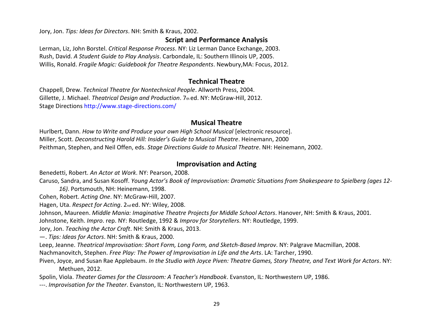Jory, Jon. *Tips: Ideas for Directors*. NH: Smith & Kraus, 2002.

#### **Script and Performance Analysis**

Lerman, Liz, John Borstel. *Critical Response Process*. NY: Liz Lerman Dance Exchange, 2003. Rush, David. *A Student Guide to Play Analysis*. Carbondale, IL: Southern Illinois UP, 2005. Willis, Ronald. *Fragile Magic: Guidebook for Theatre Respondents*. Newbury,MA: Focus, 2012.

#### **Technical Theatre**

Chappell, Drew. *Technical Theatre for Nontechnical People*. Allworth Press, 2004. Gillette, J. Michael. *Theatrical Design and Production*. 7th ed. NY: McGraw-Hill, 2012. Stage Directions http://www.stage-directions.com/

#### **Musical Theatre**

Hurlbert, Dann. *How to Write and Produce your own High School Musical* [electronic resource]. Miller, Scott. *Deconstructing Harold Hill: Insider's Guide to Musical Theatre*. Heinemann, 2000 Peithman, Stephen, and Neil Offen, eds. *Stage Directions Guide to Musical Theatre*. NH: Heinemann, 2002.

#### **Improvisation and Acting**

Benedetti, Robert. *An Actor at Work*. NY: Pearson, 2008.

Caruso, Sandra, and Susan Kosoff. *Young Actor's Book of Improvisation: Dramatic Situations from Shakespeare to Spielberg (ages 12-*

*16)*. Portsmouth, NH: Heinemann, 1998.

Cohen, Robert. *Acting One*. NY: McGraw-Hill, 2007.

Hagen, Uta. *Respect for Acting*. 2nd ed. NY: Wiley, 2008.

Johnson, Maureen. *Middle Mania: Imaginative Theatre Projects for Middle School Actors*. Hanover, NH: Smith & Kraus, 2001.

Johnstone, Keith. *Impro*. rep. NY: Routledge, 1992 & *Improv for Storytellers*. NY: Routledge, 1999.

Jory, Jon. *Teaching the Actor Craft*. NH: Smith & Kraus, 2013.

—. *Tips: Ideas for Actors*. NH: Smith & Kraus, 2000.

Leep, Jeanne. *Theatrical Improvisation: Short Form, Long Form, and Sketch-Based Improv*. NY: Palgrave Macmillan, 2008.

Nachmanovitch, Stephen. *Free Play: The Power of Improvisation in Life and the Arts*. LA: Tarcher, 1990.

Piven, Joyce, and Susan Rae Applebaum. *In the Studio with Joyce Piven: Theatre Games, Story Theatre, and Text Work for Actors*. NY: Methuen, 2012.

Spolin, Viola. *Theater Games for the Classroom: A Teacher's Handbook*. Evanston, IL: Northwestern UP, 1986.

---. *Improvisation for the Theater*. Evanston, IL: Northwestern UP, 1963.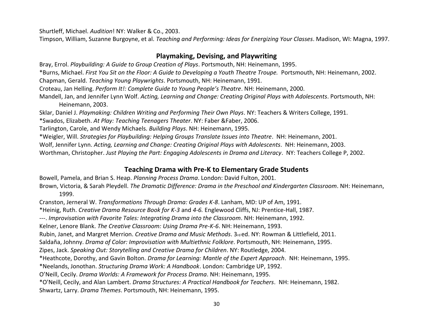Shurtleff, Michael. *Audition*! NY: Walker & Co., 2003.

Timpson, William, Suzanne Burgoyne, et al. *Teaching and Performing: Ideas for Energizing Your Classes*. Madison, WI: Magna, 1997.

#### **Playmaking, Devising, and Playwriting**

Bray, Errol. *Playbuilding: A Guide to Group Creation of Plays*. Portsmouth, NH: Heinemann, 1995. \*Burns, Michael. *First You Sit on the Floor: A Guide to Developing a Youth Theatre Troupe.* Portsmouth, NH: Heinemann, 2002. Chapman, Gerald. *Teaching Young Playwrights*. Portsmouth, NH: Heinemann, 1991. Croteau, Jan Helling. *Perform It!: Complete Guide to Young People's Theatre*. NH: Heinemann, 2000. Mandell, Jan, and Jennifer Lynn Wolf. *Acting, Learning and Change: Creating Original Plays with Adolescents*. Portsmouth, NH: Heinemann, 2003. Sklar, Daniel J. *Playmaking: Children Writing and Performing Their Own Plays*. NY: Teachers & Writers College, 1991. \*Swados, Elizabeth. *At Play: Teaching Teenagers Theater*. NY: Faber &Faber, 2006. Tarlington, Carole, and Wendy Michaels. *Building Plays*. NH: Heinemann, 1995. \*Weigler, Will. *Strategies for Playbuilding: Helping Groups Translate Issues into Theatre*. NH: Heinemann, 2001.

Wolf, Jennifer Lynn. *Acting, Learning and Change: Creating Original Plays with Adolescents*. NH: Heinemann, 2003.

Worthman, Christopher. *Just Playing the Part: Engaging Adolescents in Drama and Literacy*. NY: Teachers College P, 2002.

#### **Teaching Drama with Pre-K to Elementary Grade Students**

Bowell, Pamela, and Brian S. Heap. *Planning Process Drama*. London: David Fulton, 2001.

Brown, Victoria, & Sarah Pleydell. *The Dramatic Difference: Drama in the Preschool and Kindergarten Classroom*. NH: Heinemann, 1999.

Cranston, Jerneral W. *Transformations Through Drama: Grades K-8*. Lanham, MD: UP of Am, 1991.

\*Heinig, Ruth. *Creative Drama Resource Book for K-3* and *4-6.* Englewood Cliffs, NJ: Prentice-Hall, 1987.

---. *Improvisation with Favorite Tales: Integrating Drama into the Classroom*. NH: Heinemann, 1992.

Kelner, Lenore Blank. *The Creative Classroom: Using Drama Pre-K-6*. NH: Heinemann, 1993.

Rubin, Janet, and Margret Merrion. *Creative Drama and Music Methods*. 3<sub>rd</sub> ed. NY: Rowman & Littlefield, 2011.

Saldaña, Johnny. *Drama of Color: Improvisation with Multiethnic Folklore*. Portsmouth, NH: Heinemann, 1995.

Zipes, Jack. *Speaking Out: Storytelling and Creative Drama for Children*. NY: Routledge, 2004.

\*Heathcote, Dorothy, and Gavin Bolton. *Drama for Learning: Mantle of the Expert Approach*. NH: Heinemann, 1995.

\*Neelands, Jonothan. *Structuring Drama Work: A Handbook*. London: Cambridge UP, 1992.

O'Neill, Cecily. *Drama Worlds: A Framework for Process Drama*. NH: Heinemann, 1995.

\*O'Neill, Cecily, and Alan Lambert. *Drama Structures: A Practical Handbook for Teachers*. NH: Heinemann, 1982.

Shwartz, Larry. *Drama Themes*. Portsmouth, NH: Heinemann, 1995.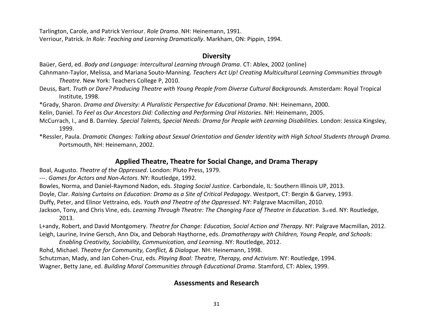Tarlington, Carole, and Patrick Verriour. *Role Drama*. NH: Heinemann, 1991.

Verriour, Patrick. *In Role: Teaching and Learning Dramatically*. Markham, ON: Pippin, 1994.

#### **Diversity**

Baüer, Gerd, ed. *Body and Language: Intercultural Learning through Drama*. CT: Ablex, 2002 (online)

- Cahnmann-Taylor, Melissa, and Mariana Souto-Manning. *Teachers Act Up! Creating Multicultural Learning Communities through Theatre*. New York: Teachers College P, 2010.
- Deuss, Bart. *Truth or Dare? Producing Theatre with Young People from Diverse Cultural Backgrounds.* Amsterdam: Royal Tropical Institute, 1998.

\*Grady, Sharon. *Drama and Diversity: A Pluralistic Perspective for Educational Drama*. NH: Heinemann, 2000.

Kelin, Daniel. *To Feel as Our Ancestors Did: Collecting and Performing Oral Histories*. NH: Heinemann, 2005.

- McCurrach, I., and B. Darnley. *Special Talents, Special Needs: Drama for People with Learning Disabilities.* London: Jessica Kingsley, 1999.
- \*Ressler, Paula. *Dramatic Changes: Talking about Sexual Orientation and Gender Identity with High School Students through Drama*. Portsmouth, NH: Heinemann, 2002.

#### **Applied Theatre, Theatre for Social Change, and Drama Therapy**

Boal, Augusto. *Theatre of the Oppressed*. London: Pluto Press, 1979.

---. *Games for Actors and Non-Actors*. NY: Routledge, 1992.

Bowles, Norma, and Daniel-Raymond Nadon, eds. *Staging Social Justice*. Carbondale, IL: Southern Illinois UP, 2013.

Doyle, Clar. *Raising Curtains on Education: Drama as a Site of Critical Pedagogy*. Westport, CT: Bergin & Garvey, 1993.

Duffy, Peter, and Elinor Vettraino, eds. *Youth and Theatre of the Oppressed*. NY: Palgrave Macmillan, 2010.

Jackson, Tony, and Chris Vine, eds. *Learning Through Theatre: The Changing Face of Theatre in Education*. 3<sup>rd</sup> ed. NY: Routledge, 2013.

L+andy, Robert, and David Montgomery. *Theatre for Change: Education, Social Action and Therapy*. NY: Palgrave Macmillan, 2012. Leigh, Laurine, Irvine Gersch, Ann Dix, and Deborah Haythorne, eds. *Dramatherapy with Children, Young People, and Schools:* 

*Enabling Creativity, Sociability, Communication, and Learning*. NY: Routledge, 2012.

Rohd, Michael. *Theatre for Community, Conflict, & Dialogue*. NH: Heinemann, 1998.

Schutzman, Mady, and Jan Cohen-Cruz, eds. *Playing Boal: Theatre, Therapy, and Activism*. NY: Routledge, 1994.

Wagner, Betty Jane, ed. *Building Moral Communities through Educational Drama*. Stamford, CT: Ablex, 1999.

#### **Assessments and Research**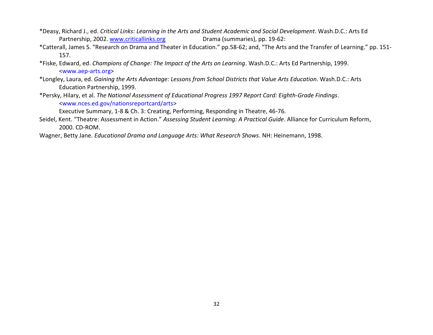- \*Deasy, Richard J., ed. *Critical Links: Learning in the Arts and Student Academic and Social Development*. Wash.D.C.: Arts Ed Partnership, 2002. [www.criticallinks.org](http://www.criticallinks.org/) **Drama (summaries), pp. 19-62:**
- \*Catterall, James S. "Research on Drama and Theater in Education." pp.58-62; and, "The Arts and the Transfer of Learning." pp. 151- 157.
- \*Fiske, Edward, ed. *Champions of Change: The Impact of the Arts on Learning*. Wash.D.C.: Arts Ed Partnership, 1999. <www.aep-arts.org>
- \*Longley, Laura, ed. *Gaining the Arts Advantage: Lessons from School Districts that Value Arts Education*. Wash.D.C.: Arts Education Partnership, 1999.
- \*Persky, Hilary, et al. *The National Assessment of Educational Progress 1997 Report Card: Eighth-Grade Findings*. <www.nces.ed.gov/nationsreportcard/arts>

Executive Summary, 1-8 & Ch. 3: Creating, Performing, Responding in Theatre, 46-76.

- Seidel, Kent. "Theatre: Assessment in Action." *Assessing Student Learning: A Practical Guide*. Alliance for Curriculum Reform, 2000. CD-ROM.
- Wagner, Betty Jane. *Educational Drama and Language Arts: What Research Shows*. NH: Heinemann, 1998.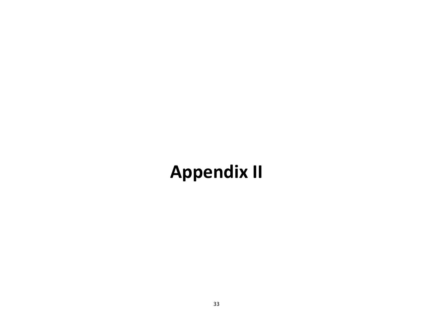## **Appendix II**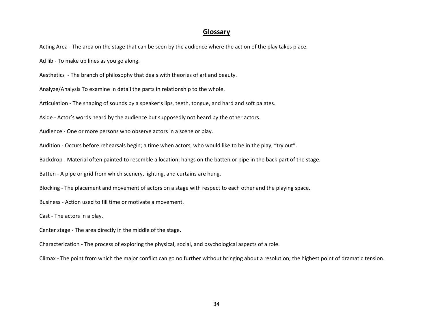#### **Glossary**

Acting Area - The area on the stage that can be seen by the audience where the action of the play takes place.

Ad lib - To make up lines as you go along.

Aesthetics - The branch of philosophy that deals with theories of art and beauty.

Analyze/Analysis To examine in detail the parts in relationship to the whole.

Articulation - The shaping of sounds by a speaker's lips, teeth, tongue, and hard and soft palates.

Aside - Actor's words heard by the audience but supposedly not heard by the other actors.

Audience - One or more persons who observe actors in a scene or play.

Audition - Occurs before rehearsals begin; a time when actors, who would like to be in the play, "try out".

Backdrop - Material often painted to resemble a location; hangs on the batten or pipe in the back part of the stage.

Batten - A pipe or grid from which scenery, lighting, and curtains are hung.

Blocking - The placement and movement of actors on a stage with respect to each other and the playing space.

Business - Action used to fill time or motivate a movement.

Cast - The actors in a play.

Center stage - The area directly in the middle of the stage.

Characterization - The process of exploring the physical, social, and psychological aspects of a role.

Climax - The point from which the major conflict can go no further without bringing about a resolution; the highest point of dramatic tension.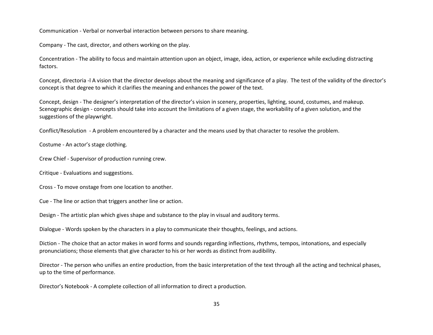Communication - Verbal or nonverbal interaction between persons to share meaning.

Company - The cast, director, and others working on the play.

Concentration - The ability to focus and maintain attention upon an object, image, idea, action, or experience while excluding distracting factors.

Concept, directoria -l A vision that the director develops about the meaning and significance of a play. The test of the validity of the director's concept is that degree to which it clarifies the meaning and enhances the power of the text.

Concept, design - The designer's interpretation of the director's vision in scenery, properties, lighting, sound, costumes, and makeup. Scenographic design - concepts should take into account the limitations of a given stage, the workability of a given solution, and the suggestions of the playwright.

Conflict/Resolution - A problem encountered by a character and the means used by that character to resolve the problem.

Costume - An actor's stage clothing.

Crew Chief - Supervisor of production running crew.

Critique - Evaluations and suggestions.

Cross - To move onstage from one location to another.

Cue - The line or action that triggers another line or action.

Design - The artistic plan which gives shape and substance to the play in visual and auditory terms.

Dialogue - Words spoken by the characters in a play to communicate their thoughts, feelings, and actions.

Diction - The choice that an actor makes in word forms and sounds regarding inflections, rhythms, tempos, intonations, and especially pronunciations; those elements that give character to his or her words as distinct from audibility.

Director - The person who unifies an entire production, from the basic interpretation of the text through all the acting and technical phases, up to the time of performance.

Director's Notebook - A complete collection of all information to direct a production.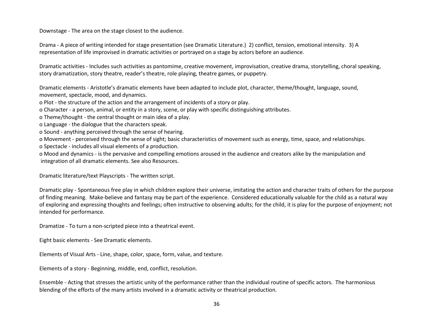Downstage - The area on the stage closest to the audience.

Drama - A piece of writing intended for stage presentation (see Dramatic Literature.) 2) conflict, tension, emotional intensity. 3) A representation of life improvised in dramatic activities or portrayed on a stage by actors before an audience.

Dramatic activities - Includes such activities as pantomime, creative movement, improvisation, creative drama, storytelling, choral speaking, story dramatization, story theatre, reader's theatre, role playing, theatre games, or puppetry.

Dramatic elements - Aristotle's dramatic elements have been adapted to include plot, character, theme/thought, language, sound, movement, spectacle, mood, and dynamics.

o Plot - the structure of the action and the arrangement of incidents of a story or play.

o Character - a person, animal, or entity in a story, scene, or play with specific distinguishing attributes.

o Theme/thought - the central thought or main idea of a play.

- o Language the dialogue that the characters speak.
- o Sound anything perceived through the sense of hearing.

o Movement - perceived through the sense of sight; basic characteristics of movement such as energy, time, space, and relationships.

o Spectacle - includes all visual elements of a production.

o Mood and dynamics - is the pervasive and compelling emotions aroused in the audience and creators alike by the manipulation and integration of all dramatic elements. See also Resources.

Dramatic literature/text Playscripts - The written script.

Dramatic play - Spontaneous free play in which children explore their universe, imitating the action and character traits of others for the purpose of finding meaning. Make-believe and fantasy may be part of the experience. Considered educationally valuable for the child as a natural way of exploring and expressing thoughts and feelings; often instructive to observing adults; for the child, it is play for the purpose of enjoyment; not intended for performance.

Dramatize - To turn a non-scripted piece into a theatrical event.

Eight basic elements - See Dramatic elements.

Elements of Visual Arts - Line, shape, color, space, form, value, and texture.

Elements of a story - Beginning, middle, end, conflict, resolution.

Ensemble - Acting that stresses the artistic unity of the performance rather than the individual routine of specific actors. The harmonious blending of the efforts of the many artists involved in a dramatic activity or theatrical production.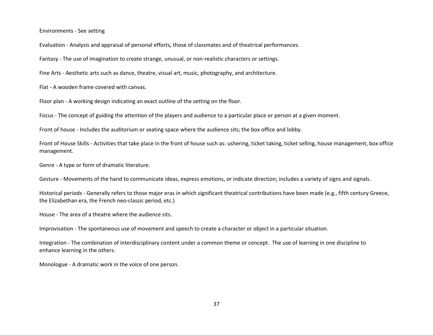Environments - See setting

Evaluation - Analysis and appraisal of personal efforts, those of classmates and of theatrical performances.

Fantasy - The use of imagination to create strange, unusual, or non-realistic characters or settings.

Fine Arts - Aesthetic arts such as dance, theatre, visual art, music, photography, and architecture.

Flat - A wooden frame covered with canvas.

Floor plan - A working design indicating an exact outline of the setting on the floor.

Focus - The concept of guiding the attention of the players and audience to a particular place or person at a given moment.

Front of house - Includes the auditorium or seating space where the audience sits; the box office and lobby.

Front of House Skills - Activities that take place in the front of house such as: ushering, ticket taking, ticket selling, house management, box office management.

Genre - A type or form of dramatic literature.

Gesture - Movements of the hand to communicate ideas, express emotions, or indicate direction; includes a variety of signs and signals.

Historical periods - Generally refers to those major eras in which significant theatrical contributions have been made (e.g., fifth century Greece, the Elizabethan era, the French neo-classic period, etc.)

House - The area of a theatre where the audience sits.

Improvisation - The spontaneous use of movement and speech to create a character or object in a particular situation.

Integration - The combination of interdisciplinary content under a common theme or concept. The use of learning in one discipline to enhance learning in the others.

Monologue - A dramatic work in the voice of one person.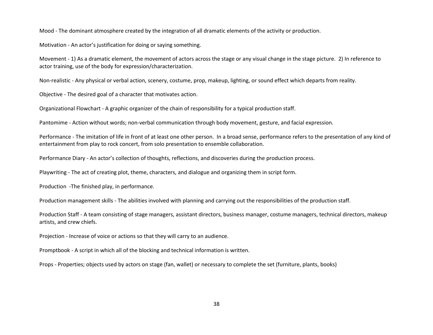Mood - The dominant atmosphere created by the integration of all dramatic elements of the activity or production.

Motivation - An actor's justification for doing or saying something.

Movement - 1) As a dramatic element, the movement of actors across the stage or any visual change in the stage picture. 2) In reference to actor training, use of the body for expression/characterization.

Non-realistic - Any physical or verbal action, scenery, costume, prop, makeup, lighting, or sound effect which departs from reality.

Objective - The desired goal of a character that motivates action.

Organizational Flowchart - A graphic organizer of the chain of responsibility for a typical production staff.

Pantomime - Action without words; non-verbal communication through body movement, gesture, and facial expression.

Performance - The imitation of life in front of at least one other person. In a broad sense, performance refers to the presentation of any kind of entertainment from play to rock concert, from solo presentation to ensemble collaboration.

Performance Diary - An actor's collection of thoughts, reflections, and discoveries during the production process.

Playwriting - The act of creating plot, theme, characters, and dialogue and organizing them in script form.

Production -The finished play, in performance.

Production management skills - The abilities involved with planning and carrying out the responsibilities of the production staff.

Production Staff - A team consisting of stage managers, assistant directors, business manager, costume managers, technical directors, makeup artists, and crew chiefs.

Projection - Increase of voice or actions so that they will carry to an audience.

Promptbook - A script in which all of the blocking and technical information is written.

Props - Properties; objects used by actors on stage (fan, wallet) or necessary to complete the set (furniture, plants, books)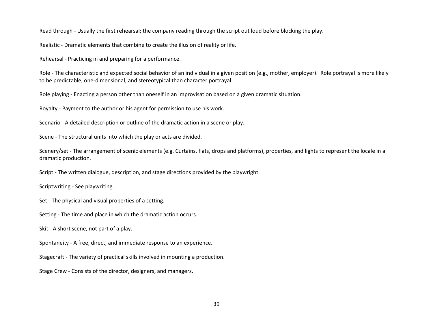Read through - Usually the first rehearsal; the company reading through the script out loud before blocking the play.

Realistic - Dramatic elements that combine to create the illusion of reality or life.

Rehearsal - Practicing in and preparing for a performance.

Role - The characteristic and expected social behavior of an individual in a given position (e.g., mother, employer). Role portrayal is more likely to be predictable, one-dimensional, and stereotypical than character portrayal.

Role playing - Enacting a person other than oneself in an improvisation based on a given dramatic situation.

Royalty - Payment to the author or his agent for permission to use his work.

Scenario - A detailed description or outline of the dramatic action in a scene or play.

Scene - The structural units into which the play or acts are divided.

Scenery/set - The arrangement of scenic elements (e.g. Curtains, flats, drops and platforms), properties, and lights to represent the locale in a dramatic production.

Script - The written dialogue, description, and stage directions provided by the playwright.

Scriptwriting - See playwriting.

Set - The physical and visual properties of a setting.

Setting - The time and place in which the dramatic action occurs.

Skit - A short scene, not part of a play.

Spontaneity - A free, direct, and immediate response to an experience.

Stagecraft - The variety of practical skills involved in mounting a production.

Stage Crew - Consists of the director, designers, and managers.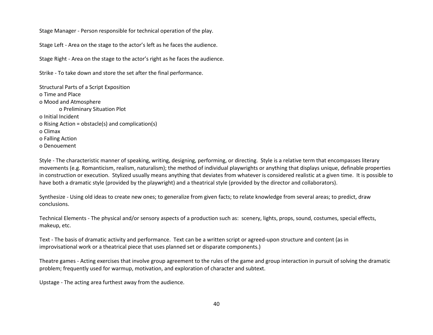Stage Manager - Person responsible for technical operation of the play.

Stage Left - Area on the stage to the actor's left as he faces the audience.

Stage Right - Area on the stage to the actor's right as he faces the audience.

Strike - To take down and store the set after the final performance.

Structural Parts of a Script Exposition o Time and Place o Mood and Atmosphere o Preliminary Situation Plot o Initial Incident o Rising Action = obstacle(s) and complication(s) o Climax o Falling Action o Denouement

Style - The characteristic manner of speaking, writing, designing, performing, or directing. Style is a relative term that encompasses literary movements (e.g. Romanticism, realism, naturalism); the method of individual playwrights or anything that displays unique, definable properties in construction or execution. Stylized usually means anything that deviates from whatever is considered realistic at a given time. It is possible to have both a dramatic style (provided by the playwright) and a theatrical style (provided by the director and collaborators).

Synthesize - Using old ideas to create new ones; to generalize from given facts; to relate knowledge from several areas; to predict, draw conclusions.

Technical Elements - The physical and/or sensory aspects of a production such as: scenery, lights, props, sound, costumes, special effects, makeup, etc.

Text - The basis of dramatic activity and performance. Text can be a written script or agreed-upon structure and content (as in improvisational work or a theatrical piece that uses planned set or disparate components.)

Theatre games - Acting exercises that involve group agreement to the rules of the game and group interaction in pursuit of solving the dramatic problem; frequently used for warmup, motivation, and exploration of character and subtext.

Upstage - The acting area furthest away from the audience.